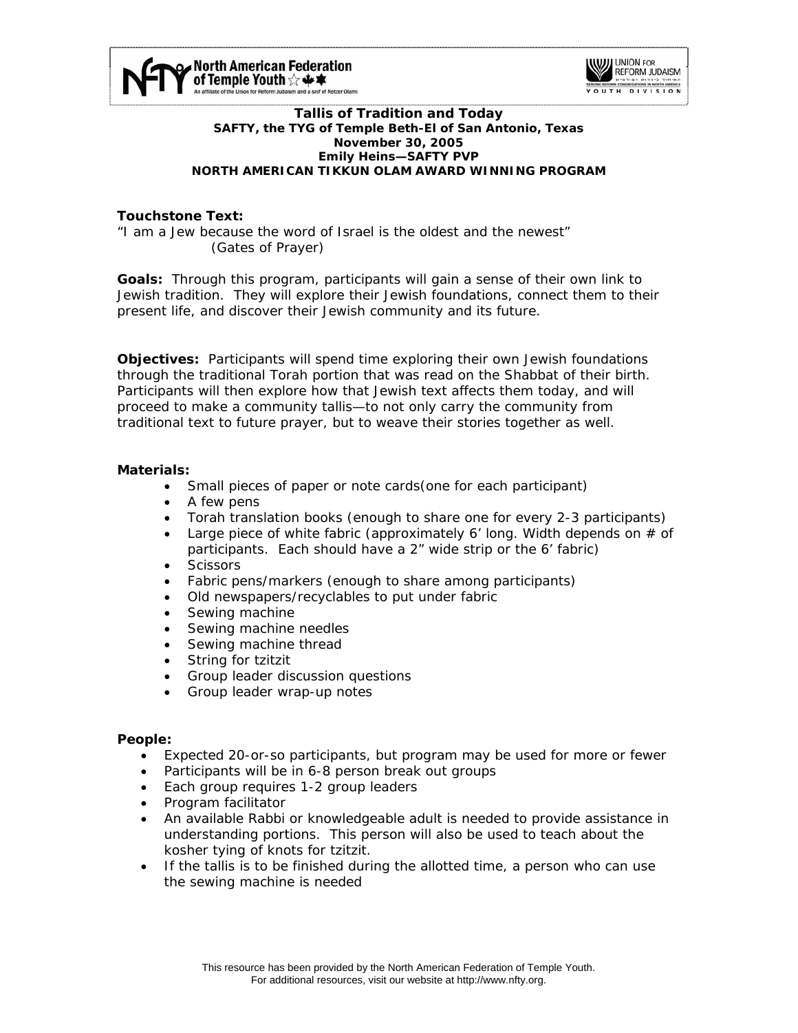



#### **Tallis of Tradition and Today SAFTY, the TYG of Temple Beth-El of San Antonio, Texas November 30, 2005 Emily Heins—SAFTY PVP NORTH AMERICAN TIKKUN OLAM AWARD WINNING PROGRAM**

# **Touchstone Text:**

"I am a Jew because the word of Israel is the oldest and the newest" (Gates of Prayer)

**Goals:** Through this program, participants will gain a sense of their own link to Jewish tradition. They will explore their Jewish foundations, connect them to their present life, and discover their Jewish community and its future.

**Objectives:** Participants will spend time exploring their own Jewish foundations through the traditional Torah portion that was read on the Shabbat of their birth. Participants will then explore how that Jewish text affects them today, and will proceed to make a community tallis—to not only carry the community from traditional text to future prayer, but to weave their stories together as well.

## **Materials:**

- Small pieces of paper or note cards(one for each participant)
- A few pens
- Torah translation books (enough to share one for every 2-3 participants)
- Large piece of white fabric (approximately 6' long. Width depends on  $#$  of participants. Each should have a 2" wide strip or the 6' fabric)
- Scissors
- Fabric pens/markers (enough to share among participants)
- Old newspapers/recyclables to put under fabric
- Sewing machine
- Sewing machine needles
- Sewing machine thread
- String for tzitzit
- Group leader discussion questions
- Group leader wrap-up notes

#### **People:**

- Expected 20-or-so participants, but program may be used for more or fewer
- Participants will be in 6-8 person break out groups
- Each group requires 1-2 group leaders
- Program facilitator
- An available Rabbi or knowledgeable adult is needed to provide assistance in understanding portions. This person will also be used to teach about the kosher tying of knots for tzitzit.
- If the tallis is to be finished during the allotted time, a person who can use the sewing machine is needed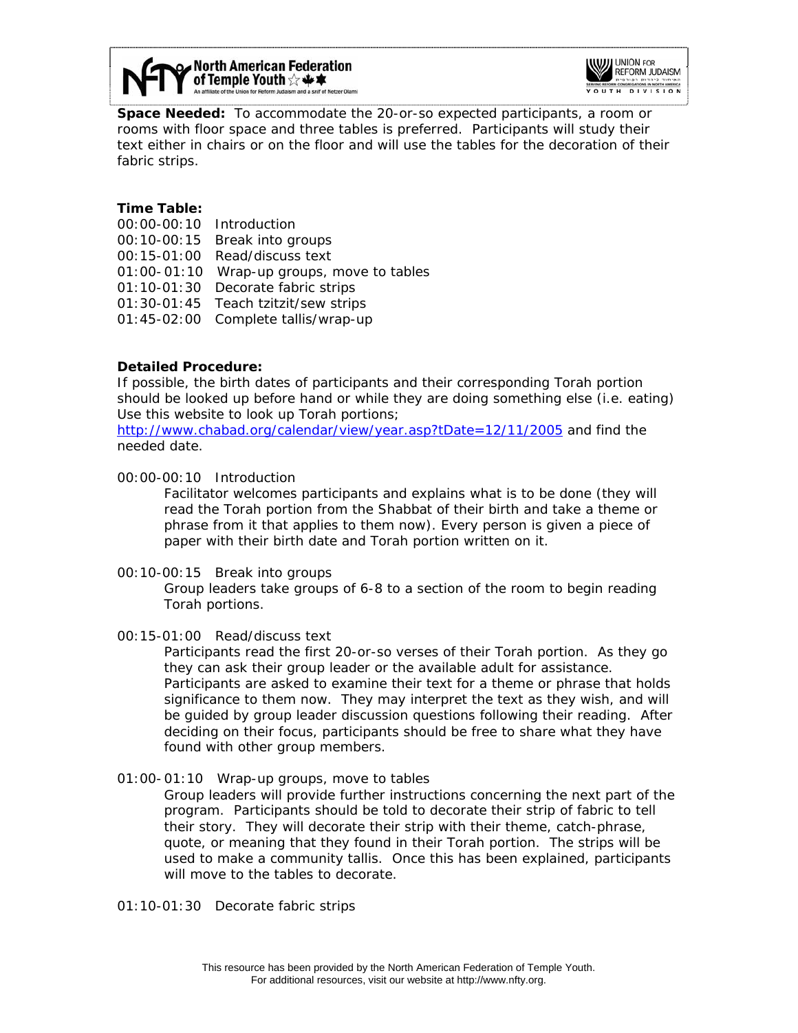



**Space Needed:** To accommodate the 20-or-so expected participants, a room or rooms with floor space and three tables is preferred. Participants will study their text either in chairs or on the floor and will use the tables for the decoration of their fabric strips.

# **Time Table:**

00:00-00:10 Introduction 00:10-00:15 Break into groups 00:15-01:00 Read/discuss text 01:00- 01:10 Wrap-up groups, move to tables 01:10-01:30 Decorate fabric strips 01:30-01:45 Teach tzitzit/sew strips 01:45-02:00 Complete tallis/wrap-up

## **Detailed Procedure:**

If possible, the birth dates of participants and their corresponding Torah portion should be looked up before hand or while they are doing something else (i.e. eating) Use this website to look up Torah portions;

<http://www.chabad.org/calendar/view/year.asp?tDate=12/11/2005> and find the needed date.

00:00-00:10 Introduction

Facilitator welcomes participants and explains what is to be done (they will read the Torah portion from the Shabbat of their birth and take a theme or phrase from it that applies to them now). Every person is given a piece of paper with their birth date and Torah portion written on it.

00:10-00:15 Break into groups

Group leaders take groups of 6-8 to a section of the room to begin reading Torah portions.

#### 00:15-01:00 Read/discuss text

Participants read the first 20-or-so verses of their Torah portion. As they go they can ask their group leader or the available adult for assistance. Participants are asked to examine their text for a theme or phrase that holds significance to them now. They may interpret the text as they wish, and will be guided by group leader discussion questions following their reading. After deciding on their focus, participants should be free to share what they have found with other group members.

01:00- 01:10 Wrap-up groups, move to tables

Group leaders will provide further instructions concerning the next part of the program. Participants should be told to decorate their strip of fabric to tell their story. They will decorate their strip with their theme, catch-phrase, quote, or meaning that they found in their Torah portion. The strips will be used to make a community tallis. Once this has been explained, participants will move to the tables to decorate.

01:10-01:30 Decorate fabric strips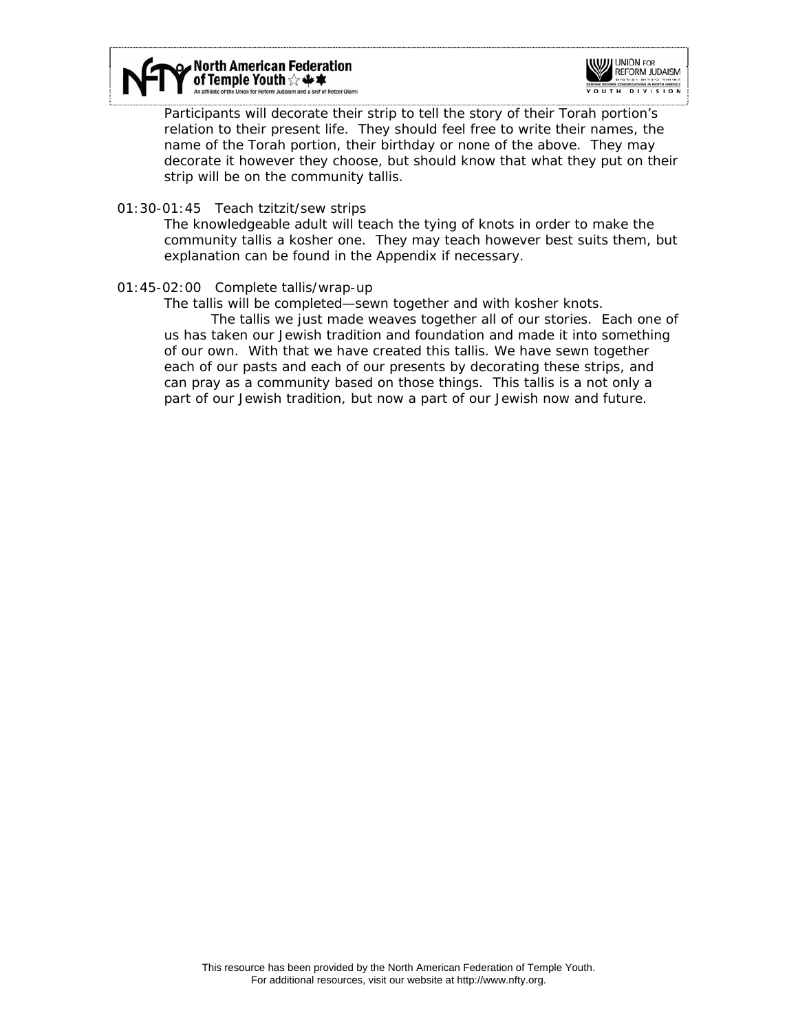



Participants will decorate their strip to tell the story of their Torah portion's relation to their present life. They should feel free to write their names, the name of the Torah portion, their birthday or none of the above. They may decorate it however they choose, but should know that what they put on their strip will be on the community tallis.

01:30-01:45 Teach tzitzit/sew strips

The knowledgeable adult will teach the tying of knots in order to make the community tallis a kosher one. They may teach however best suits them, but explanation can be found in the Appendix if necessary.

01:45-02:00 Complete tallis/wrap-up

The tallis will be completed—sewn together and with kosher knots.

 The tallis we just made weaves together all of our stories. Each one of us has taken our Jewish tradition and foundation and made it into something of our own. With that we have created this tallis. We have sewn together each of our pasts and each of our presents by decorating these strips, and can pray as a community based on those things. This tallis is a not only a part of our Jewish tradition, but now a part of our Jewish now and future.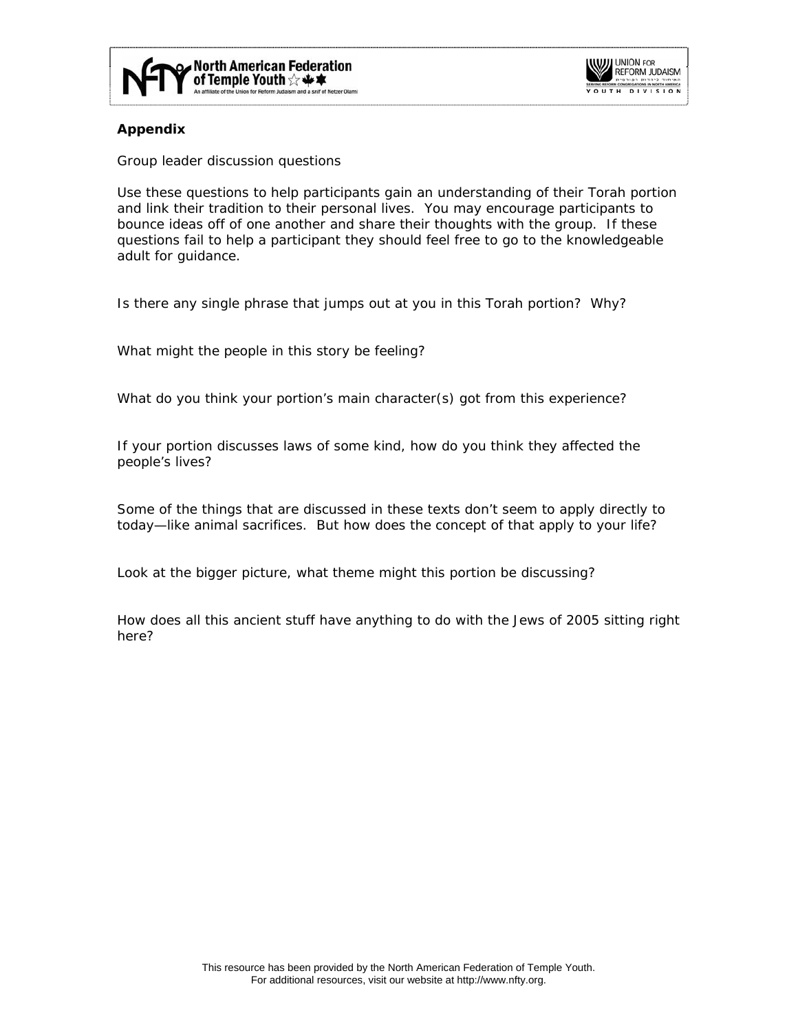



# **Appendix**

*Group leader discussion questions* 

Use these questions to help participants gain an understanding of their Torah portion and link their tradition to their personal lives. You may encourage participants to bounce ideas off of one another and share their thoughts with the group. If these questions fail to help a participant they should feel free to go to the knowledgeable adult for guidance.

Is there any single phrase that jumps out at you in this Torah portion? Why?

What might the people in this story be feeling?

What do you think your portion's main character(s) got from this experience?

If your portion discusses laws of some kind, how do you think they affected the people's lives?

Some of the things that are discussed in these texts don't seem to apply directly to today—like animal sacrifices. But how does the *concept* of that apply to your life?

Look at the bigger picture, what *theme* might this portion be discussing?

How does all this ancient stuff have anything to do with the Jews of 2005 sitting right here?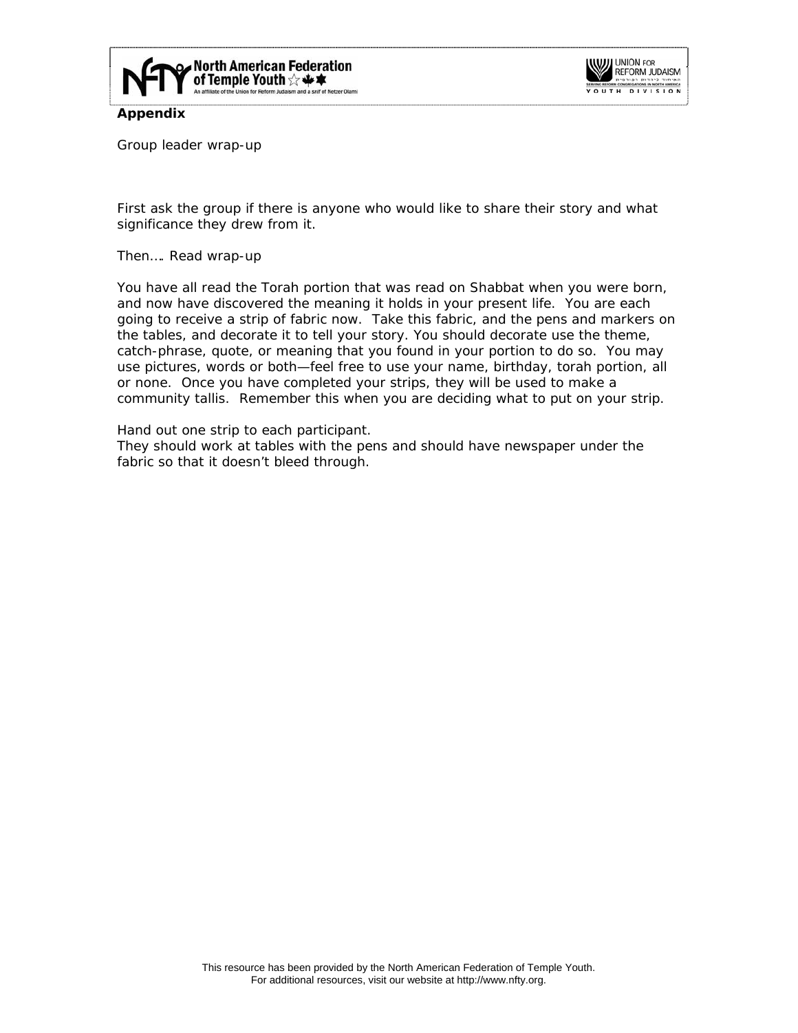



**Appendix** 

*Group leader wrap-up* 

First ask the group if there is anyone who would like to share their story and what significance they drew from it.

Then…. Read wrap-up

You have all read the Torah portion that was read on Shabbat when you were born, and now have discovered the meaning it holds in your present life. You are each going to receive a strip of fabric now. Take this fabric, and the pens and markers on the tables, and decorate it to tell your story. You should decorate use the theme, catch-phrase, quote, or meaning that you found in your portion to do so. You may use pictures, words or both—feel free to use your name, birthday, torah portion, all or none. Once you have completed your strips, they will be used to make a community tallis. Remember this when you are deciding what to put on your strip.

Hand out one strip to each participant.

They should work at tables with the pens and should have newspaper under the fabric so that it doesn't bleed through.